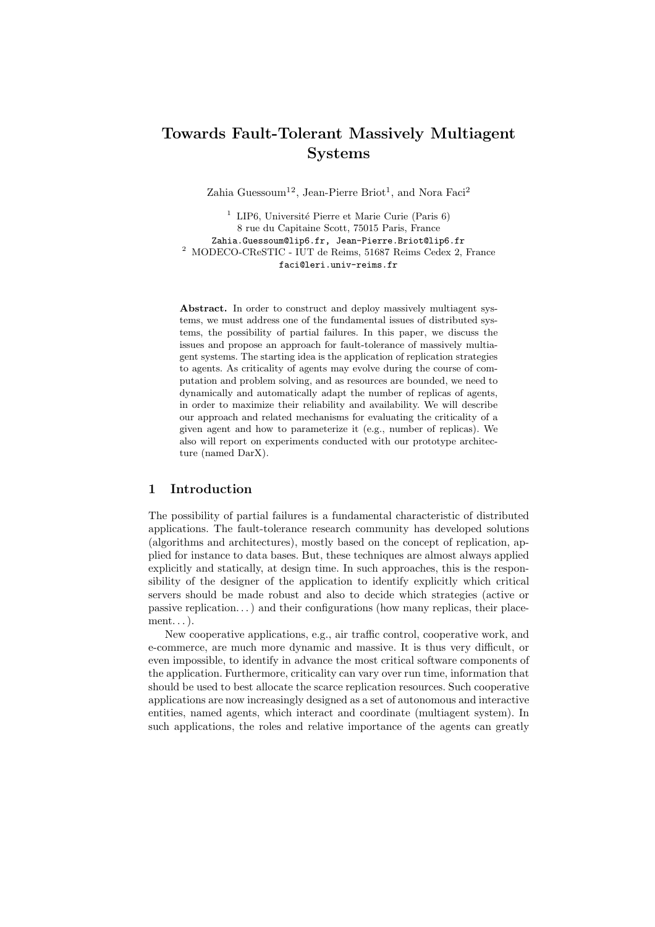# **Towards Fault-Tolerant Massively Multiagent Systems**

Zahia Guessoum<sup>12</sup>, Jean-Pierre Briot<sup>1</sup>, and Nora Faci<sup>2</sup>

<sup>1</sup> LIP6, Université Pierre et Marie Curie (Paris 6) 8 rue du Capitaine Scott, 75015 Paris, France Zahia.Guessoum@lip6.fr, Jean-Pierre.Briot@lip6.fr  $^2\,$  MODECO-CReSTIC - IUT de Reims, 51687<br> Reims Cedex 2, France faci@leri.univ-reims.fr

Abstract. In order to construct and deploy massively multiagent systems, we must address one of the fundamental issues of distributed systems, the possibility of partial failures. In this paper, we discuss the issues and propose an approach for fault-tolerance of massively multiagent systems. The starting idea is the application of replication strategies to agents. As criticality of agents may evolve during the course of computation and problem solving, and as resources are bounded, we need to dynamically and automatically adapt the number of replicas of agents, in order to maximize their reliability and availability. We will describe our approach and related mechanisms for evaluating the criticality of a given agent and how to parameterize it (e.g., number of replicas). We also will report on experiments conducted with our prototype architecture (named DarX).

# **1 Introduction**

The possibility of partial failures is a fundamental characteristic of distributed applications. The fault-tolerance research community has developed solutions (algorithms and architectures), mostly based on the concept of replication, applied for instance to data bases. But, these techniques are almost always applied explicitly and statically, at design time. In such approaches, this is the responsibility of the designer of the application to identify explicitly which critical servers should be made robust and also to decide which strategies (active or passive replication. . . ) and their configurations (how many replicas, their place $ment...$ ).

New cooperative applications, e.g., air traffic control, cooperative work, and e-commerce, are much more dynamic and massive. It is thus very difficult, or even impossible, to identify in advance the most critical software components of the application. Furthermore, criticality can vary over run time, information that should be used to best allocate the scarce replication resources. Such cooperative applications are now increasingly designed as a set of autonomous and interactive entities, named agents, which interact and coordinate (multiagent system). In such applications, the roles and relative importance of the agents can greatly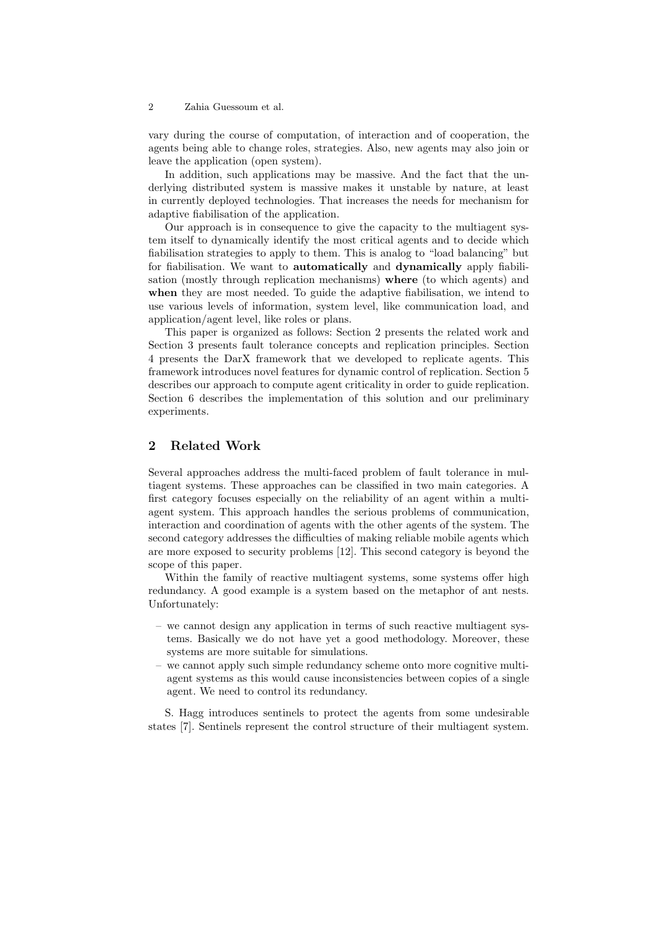vary during the course of computation, of interaction and of cooperation, the agents being able to change roles, strategies. Also, new agents may also join or leave the application (open system).

In addition, such applications may be massive. And the fact that the underlying distributed system is massive makes it unstable by nature, at least in currently deployed technologies. That increases the needs for mechanism for adaptive fiabilisation of the application.

Our approach is in consequence to give the capacity to the multiagent system itself to dynamically identify the most critical agents and to decide which fiabilisation strategies to apply to them. This is analog to "load balancing" but for fiabilisation. We want to **automatically** and **dynamically** apply fiabilisation (mostly through replication mechanisms) **where** (to which agents) and **when** they are most needed. To guide the adaptive fiabilisation, we intend to use various levels of information, system level, like communication load, and application/agent level, like roles or plans.

This paper is organized as follows: Section 2 presents the related work and Section 3 presents fault tolerance concepts and replication principles. Section 4 presents the DarX framework that we developed to replicate agents. This framework introduces novel features for dynamic control of replication. Section 5 describes our approach to compute agent criticality in order to guide replication. Section 6 describes the implementation of this solution and our preliminary experiments.

# **2 Related Work**

Several approaches address the multi-faced problem of fault tolerance in multiagent systems. These approaches can be classified in two main categories. A first category focuses especially on the reliability of an agent within a multiagent system. This approach handles the serious problems of communication, interaction and coordination of agents with the other agents of the system. The second category addresses the difficulties of making reliable mobile agents which are more exposed to security problems [12]. This second category is beyond the scope of this paper.

Within the family of reactive multiagent systems, some systems offer high redundancy. A good example is a system based on the metaphor of ant nests. Unfortunately:

- we cannot design any application in terms of such reactive multiagent systems. Basically we do not have yet a good methodology. Moreover, these systems are more suitable for simulations.
- we cannot apply such simple redundancy scheme onto more cognitive multiagent systems as this would cause inconsistencies between copies of a single agent. We need to control its redundancy.

S. Hagg introduces sentinels to protect the agents from some undesirable states [7]. Sentinels represent the control structure of their multiagent system.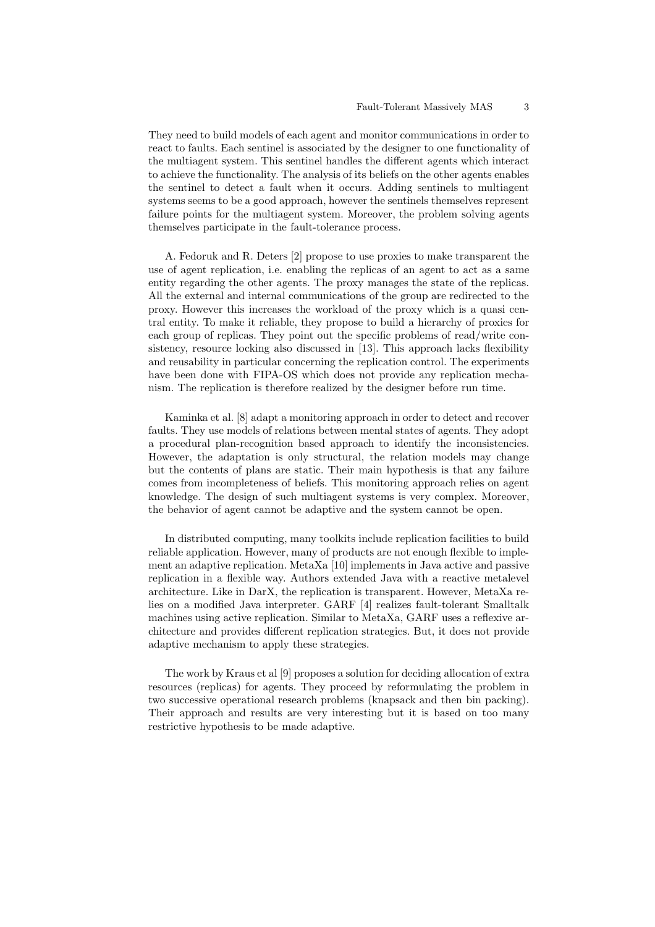They need to build models of each agent and monitor communications in order to react to faults. Each sentinel is associated by the designer to one functionality of the multiagent system. This sentinel handles the different agents which interact to achieve the functionality. The analysis of its beliefs on the other agents enables the sentinel to detect a fault when it occurs. Adding sentinels to multiagent systems seems to be a good approach, however the sentinels themselves represent failure points for the multiagent system. Moreover, the problem solving agents themselves participate in the fault-tolerance process.

A. Fedoruk and R. Deters [2] propose to use proxies to make transparent the use of agent replication, i.e. enabling the replicas of an agent to act as a same entity regarding the other agents. The proxy manages the state of the replicas. All the external and internal communications of the group are redirected to the proxy. However this increases the workload of the proxy which is a quasi central entity. To make it reliable, they propose to build a hierarchy of proxies for each group of replicas. They point out the specific problems of read/write consistency, resource locking also discussed in [13]. This approach lacks flexibility and reusability in particular concerning the replication control. The experiments have been done with FIPA-OS which does not provide any replication mechanism. The replication is therefore realized by the designer before run time.

Kaminka et al. [8] adapt a monitoring approach in order to detect and recover faults. They use models of relations between mental states of agents. They adopt a procedural plan-recognition based approach to identify the inconsistencies. However, the adaptation is only structural, the relation models may change but the contents of plans are static. Their main hypothesis is that any failure comes from incompleteness of beliefs. This monitoring approach relies on agent knowledge. The design of such multiagent systems is very complex. Moreover, the behavior of agent cannot be adaptive and the system cannot be open.

In distributed computing, many toolkits include replication facilities to build reliable application. However, many of products are not enough flexible to implement an adaptive replication. MetaXa [10] implements in Java active and passive replication in a flexible way. Authors extended Java with a reactive metalevel architecture. Like in DarX, the replication is transparent. However, MetaXa relies on a modified Java interpreter. GARF [4] realizes fault-tolerant Smalltalk machines using active replication. Similar to MetaXa, GARF uses a reflexive architecture and provides different replication strategies. But, it does not provide adaptive mechanism to apply these strategies.

The work by Kraus et al [9] proposes a solution for deciding allocation of extra resources (replicas) for agents. They proceed by reformulating the problem in two successive operational research problems (knapsack and then bin packing). Their approach and results are very interesting but it is based on too many restrictive hypothesis to be made adaptive.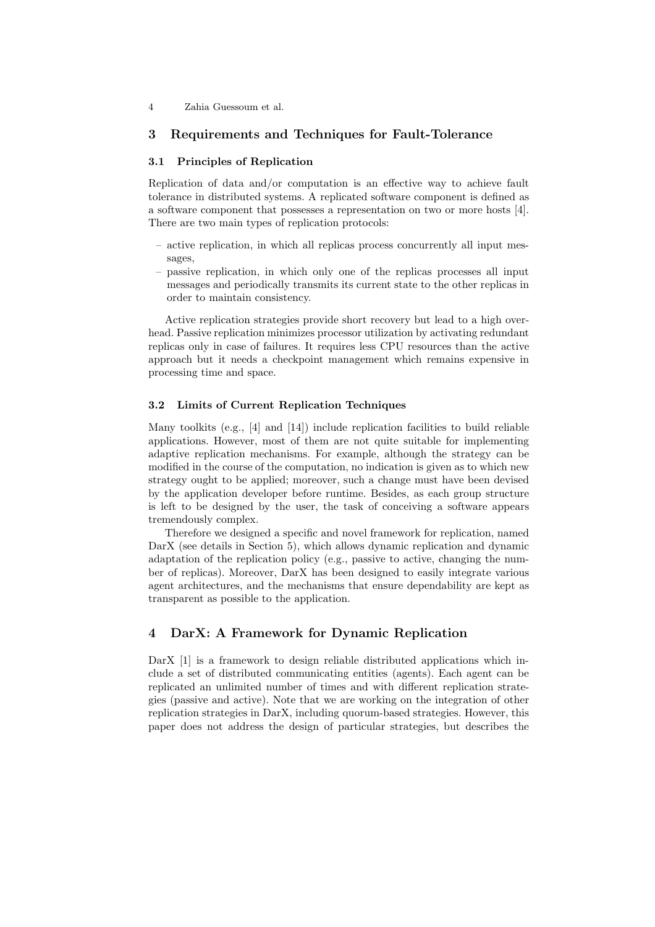# **3 Requirements and Techniques for Fault-Tolerance**

# **3.1 Principles of Replication**

Replication of data and/or computation is an effective way to achieve fault tolerance in distributed systems. A replicated software component is defined as a software component that possesses a representation on two or more hosts [4]. There are two main types of replication protocols:

- active replication, in which all replicas process concurrently all input messages,
- passive replication, in which only one of the replicas processes all input messages and periodically transmits its current state to the other replicas in order to maintain consistency.

Active replication strategies provide short recovery but lead to a high overhead. Passive replication minimizes processor utilization by activating redundant replicas only in case of failures. It requires less CPU resources than the active approach but it needs a checkpoint management which remains expensive in processing time and space.

### **3.2 Limits of Current Replication Techniques**

Many toolkits (e.g., [4] and [14]) include replication facilities to build reliable applications. However, most of them are not quite suitable for implementing adaptive replication mechanisms. For example, although the strategy can be modified in the course of the computation, no indication is given as to which new strategy ought to be applied; moreover, such a change must have been devised by the application developer before runtime. Besides, as each group structure is left to be designed by the user, the task of conceiving a software appears tremendously complex.

Therefore we designed a specific and novel framework for replication, named DarX (see details in Section 5), which allows dynamic replication and dynamic adaptation of the replication policy (e.g., passive to active, changing the number of replicas). Moreover, DarX has been designed to easily integrate various agent architectures, and the mechanisms that ensure dependability are kept as transparent as possible to the application.

# **4 DarX: A Framework for Dynamic Replication**

DarX [1] is a framework to design reliable distributed applications which include a set of distributed communicating entities (agents). Each agent can be replicated an unlimited number of times and with different replication strategies (passive and active). Note that we are working on the integration of other replication strategies in DarX, including quorum-based strategies. However, this paper does not address the design of particular strategies, but describes the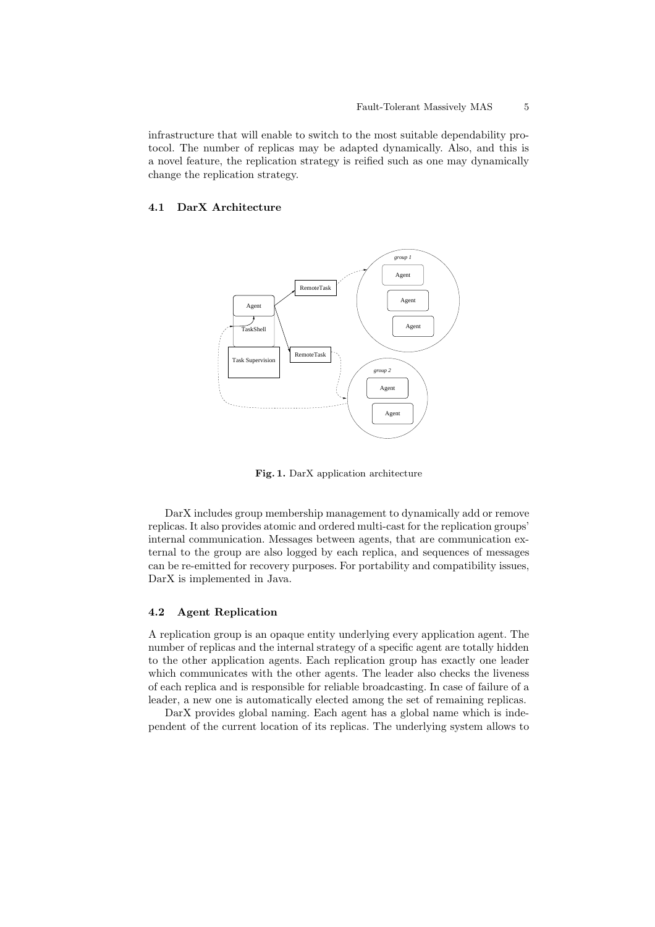infrastructure that will enable to switch to the most suitable dependability protocol. The number of replicas may be adapted dynamically. Also, and this is a novel feature, the replication strategy is reified such as one may dynamically change the replication strategy.

### **4.1 DarX Architecture**



**Fig. 1.** DarX application architecture

DarX includes group membership management to dynamically add or remove replicas. It also provides atomic and ordered multi-cast for the replication groups' internal communication. Messages between agents, that are communication external to the group are also logged by each replica, and sequences of messages can be re-emitted for recovery purposes. For portability and compatibility issues, DarX is implemented in Java.

# **4.2 Agent Replication**

A replication group is an opaque entity underlying every application agent. The number of replicas and the internal strategy of a specific agent are totally hidden to the other application agents. Each replication group has exactly one leader which communicates with the other agents. The leader also checks the liveness of each replica and is responsible for reliable broadcasting. In case of failure of a leader, a new one is automatically elected among the set of remaining replicas.

DarX provides global naming. Each agent has a global name which is independent of the current location of its replicas. The underlying system allows to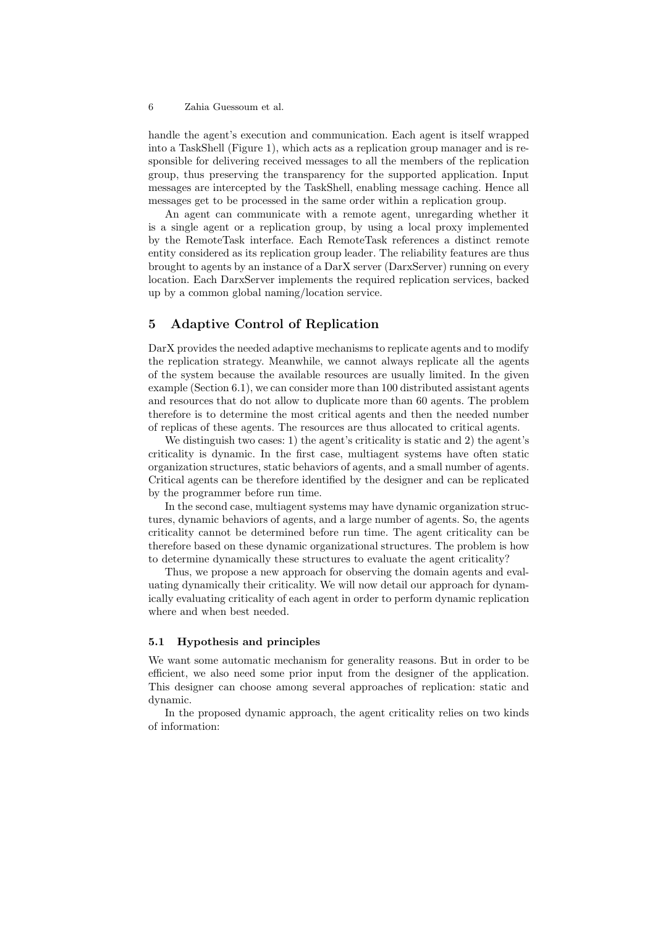handle the agent's execution and communication. Each agent is itself wrapped into a TaskShell (Figure 1), which acts as a replication group manager and is responsible for delivering received messages to all the members of the replication group, thus preserving the transparency for the supported application. Input messages are intercepted by the TaskShell, enabling message caching. Hence all messages get to be processed in the same order within a replication group.

An agent can communicate with a remote agent, unregarding whether it is a single agent or a replication group, by using a local proxy implemented by the RemoteTask interface. Each RemoteTask references a distinct remote entity considered as its replication group leader. The reliability features are thus brought to agents by an instance of a DarX server (DarxServer) running on every location. Each DarxServer implements the required replication services, backed up by a common global naming/location service.

# **5 Adaptive Control of Replication**

DarX provides the needed adaptive mechanisms to replicate agents and to modify the replication strategy. Meanwhile, we cannot always replicate all the agents of the system because the available resources are usually limited. In the given example (Section 6.1), we can consider more than 100 distributed assistant agents and resources that do not allow to duplicate more than 60 agents. The problem therefore is to determine the most critical agents and then the needed number of replicas of these agents. The resources are thus allocated to critical agents.

We distinguish two cases: 1) the agent's criticality is static and 2) the agent's criticality is dynamic. In the first case, multiagent systems have often static organization structures, static behaviors of agents, and a small number of agents. Critical agents can be therefore identified by the designer and can be replicated by the programmer before run time.

In the second case, multiagent systems may have dynamic organization structures, dynamic behaviors of agents, and a large number of agents. So, the agents criticality cannot be determined before run time. The agent criticality can be therefore based on these dynamic organizational structures. The problem is how to determine dynamically these structures to evaluate the agent criticality?

Thus, we propose a new approach for observing the domain agents and evaluating dynamically their criticality. We will now detail our approach for dynamically evaluating criticality of each agent in order to perform dynamic replication where and when best needed.

### **5.1 Hypothesis and principles**

We want some automatic mechanism for generality reasons. But in order to be efficient, we also need some prior input from the designer of the application. This designer can choose among several approaches of replication: static and dynamic.

In the proposed dynamic approach, the agent criticality relies on two kinds of information: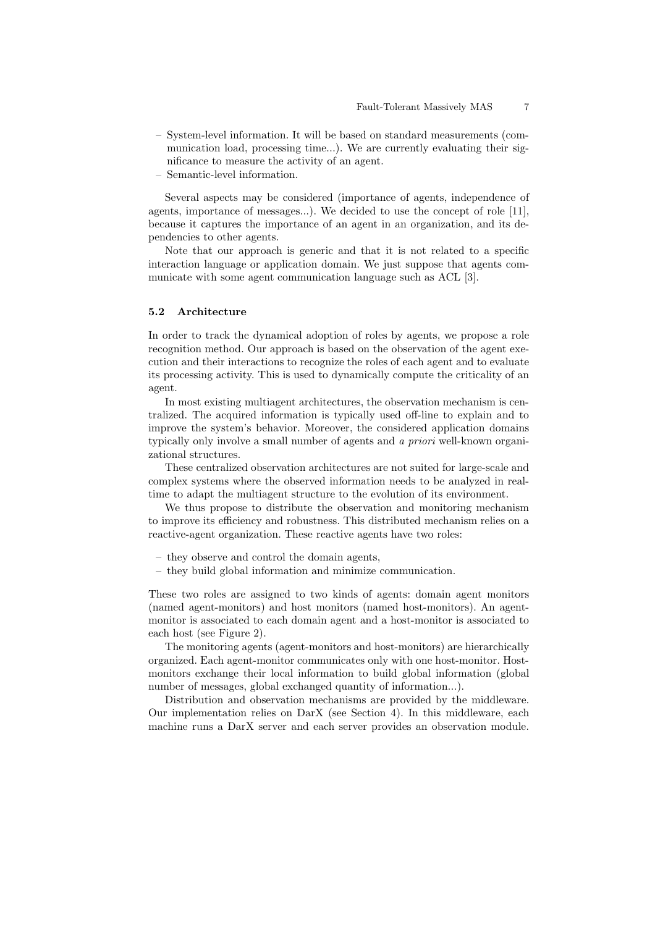- System-level information. It will be based on standard measurements (communication load, processing time...). We are currently evaluating their significance to measure the activity of an agent.
- Semantic-level information.

Several aspects may be considered (importance of agents, independence of agents, importance of messages...). We decided to use the concept of role [11], because it captures the importance of an agent in an organization, and its dependencies to other agents.

Note that our approach is generic and that it is not related to a specific interaction language or application domain. We just suppose that agents communicate with some agent communication language such as ACL [3].

### **5.2 Architecture**

In order to track the dynamical adoption of roles by agents, we propose a role recognition method. Our approach is based on the observation of the agent execution and their interactions to recognize the roles of each agent and to evaluate its processing activity. This is used to dynamically compute the criticality of an agent.

In most existing multiagent architectures, the observation mechanism is centralized. The acquired information is typically used off-line to explain and to improve the system's behavior. Moreover, the considered application domains typically only involve a small number of agents and *a priori* well-known organizational structures.

These centralized observation architectures are not suited for large-scale and complex systems where the observed information needs to be analyzed in realtime to adapt the multiagent structure to the evolution of its environment.

We thus propose to distribute the observation and monitoring mechanism to improve its efficiency and robustness. This distributed mechanism relies on a reactive-agent organization. These reactive agents have two roles:

- they observe and control the domain agents,
- they build global information and minimize communication.

These two roles are assigned to two kinds of agents: domain agent monitors (named agent-monitors) and host monitors (named host-monitors). An agentmonitor is associated to each domain agent and a host-monitor is associated to each host (see Figure 2).

The monitoring agents (agent-monitors and host-monitors) are hierarchically organized. Each agent-monitor communicates only with one host-monitor. Hostmonitors exchange their local information to build global information (global number of messages, global exchanged quantity of information...).

Distribution and observation mechanisms are provided by the middleware. Our implementation relies on DarX (see Section 4). In this middleware, each machine runs a DarX server and each server provides an observation module.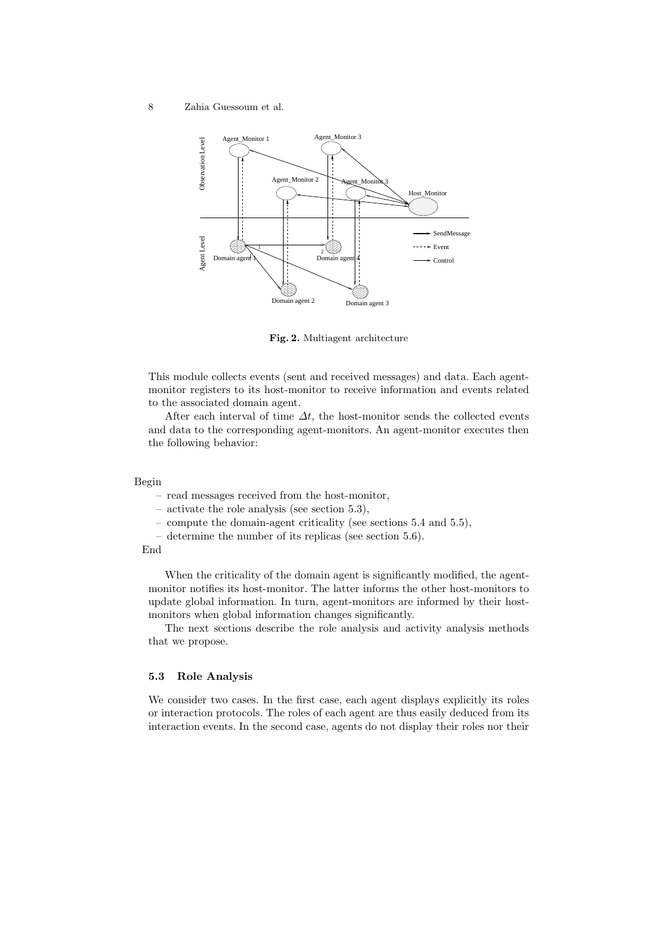

**Fig. 2.** Multiagent architecture

This module collects events (sent and received messages) and data. Each agentmonitor registers to its host-monitor to receive information and events related to the associated domain agent.

After each interval of time  $\Delta t$ , the host-monitor sends the collected events and data to the corresponding agent-monitors. An agent-monitor executes then the following behavior:

#### Begin

- read messages received from the host-monitor,
- activate the role analysis (see section 5.3),
- compute the domain-agent criticality (see sections 5.4 and 5.5),
- determine the number of its replicas (see section 5.6).

# End

When the criticality of the domain agent is significantly modified, the agentmonitor notifies its host-monitor. The latter informs the other host-monitors to update global information. In turn, agent-monitors are informed by their hostmonitors when global information changes significantly.

The next sections describe the role analysis and activity analysis methods that we propose.

### **5.3 Role Analysis**

We consider two cases. In the first case, each agent displays explicitly its roles or interaction protocols. The roles of each agent are thus easily deduced from its interaction events. In the second case, agents do not display their roles nor their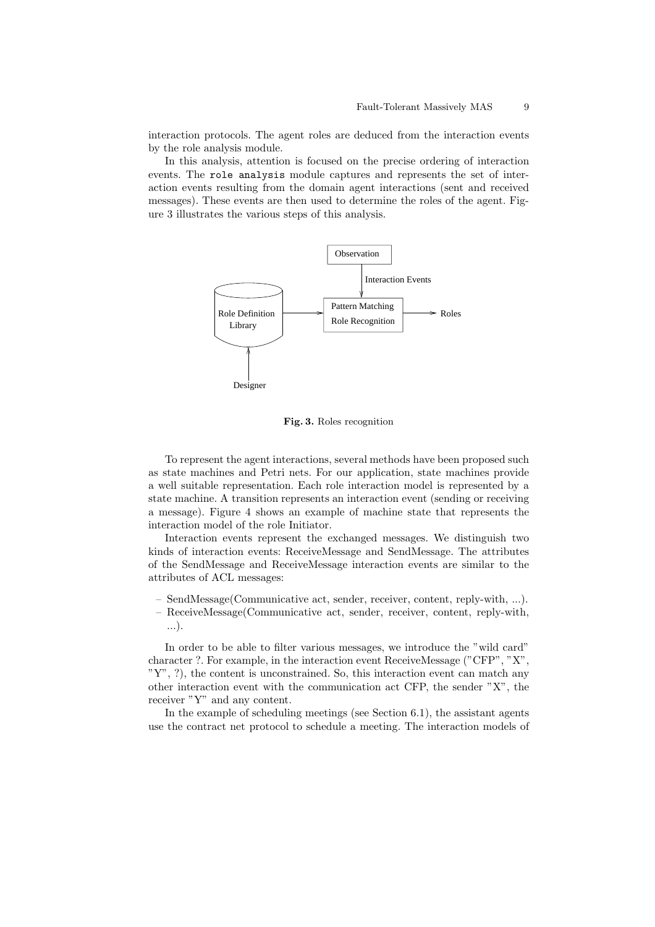interaction protocols. The agent roles are deduced from the interaction events by the role analysis module.

In this analysis, attention is focused on the precise ordering of interaction events. The role analysis module captures and represents the set of interaction events resulting from the domain agent interactions (sent and received messages). These events are then used to determine the roles of the agent. Figure 3 illustrates the various steps of this analysis.



**Fig. 3.** Roles recognition

To represent the agent interactions, several methods have been proposed such as state machines and Petri nets. For our application, state machines provide a well suitable representation. Each role interaction model is represented by a state machine. A transition represents an interaction event (sending or receiving a message). Figure 4 shows an example of machine state that represents the interaction model of the role Initiator.

Interaction events represent the exchanged messages. We distinguish two kinds of interaction events: ReceiveMessage and SendMessage. The attributes of the SendMessage and ReceiveMessage interaction events are similar to the attributes of ACL messages:

- SendMessage(Communicative act, sender, receiver, content, reply-with, ...).
- ReceiveMessage(Communicative act, sender, receiver, content, reply-with, ...).

In order to be able to filter various messages, we introduce the "wild card" character ?. For example, in the interaction event ReceiveMessage ("CFP", "X",  $''Y''$ , ?), the content is unconstrained. So, this interaction event can match any other interaction event with the communication act CFP, the sender "X", the receiver "Y" and any content.

In the example of scheduling meetings (see Section 6.1), the assistant agents use the contract net protocol to schedule a meeting. The interaction models of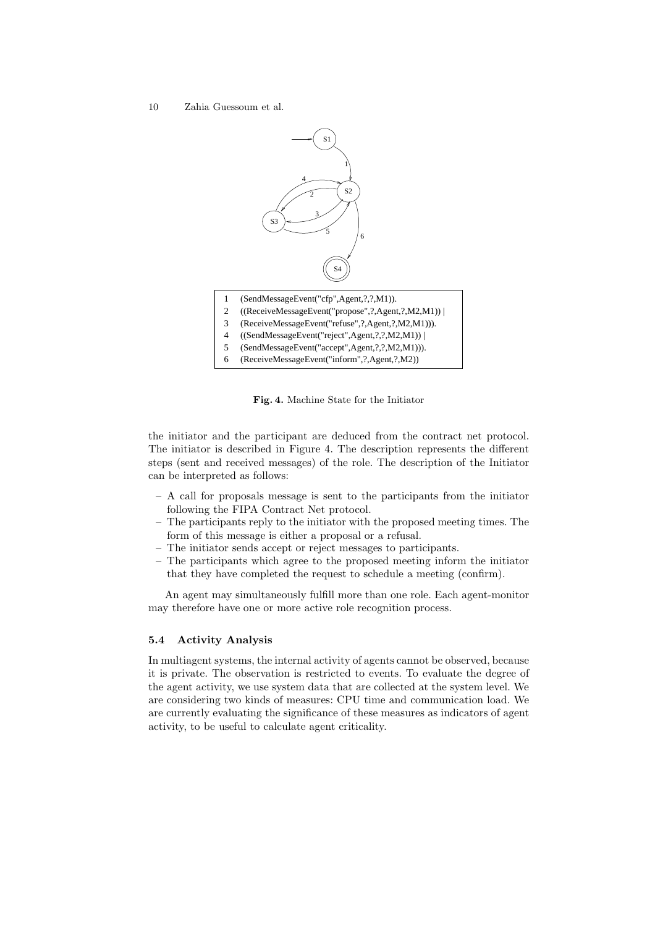

**Fig. 4.** Machine State for the Initiator

the initiator and the participant are deduced from the contract net protocol. The initiator is described in Figure 4. The description represents the different steps (sent and received messages) of the role. The description of the Initiator can be interpreted as follows:

- A call for proposals message is sent to the participants from the initiator following the FIPA Contract Net protocol.
- The participants reply to the initiator with the proposed meeting times. The form of this message is either a proposal or a refusal.
- The initiator sends accept or reject messages to participants.
- The participants which agree to the proposed meeting inform the initiator that they have completed the request to schedule a meeting (confirm).

An agent may simultaneously fulfill more than one role. Each agent-monitor may therefore have one or more active role recognition process.

# **5.4 Activity Analysis**

In multiagent systems, the internal activity of agents cannot be observed, because it is private. The observation is restricted to events. To evaluate the degree of the agent activity, we use system data that are collected at the system level. We are considering two kinds of measures: CPU time and communication load. We are currently evaluating the significance of these measures as indicators of agent activity, to be useful to calculate agent criticality.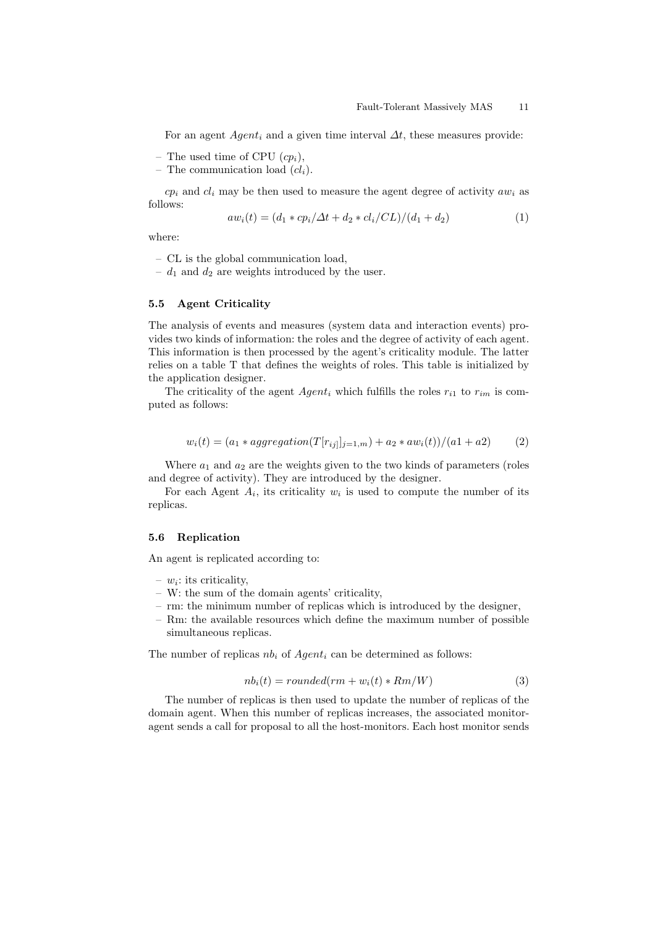For an agent  $Agent_i$  and a given time interval  $\Delta t$ , these measures provide:

- The used time of CPU  $(cp_i)$ ,
- The communication load  $(cl_i)$ .

 $cp<sub>i</sub>$  and  $cl<sub>i</sub>$  may be then used to measure the agent degree of activity  $aw<sub>i</sub>$  as follows:

$$
aw_i(t) = (d_1 * cp_i/\Delta t + d_2 * cl_i/CL)/(d_1 + d_2)
$$
\n(1)

where:

- CL is the global communication load,
- $d_1$  and  $d_2$  are weights introduced by the user.

### **5.5 Agent Criticality**

The analysis of events and measures (system data and interaction events) provides two kinds of information: the roles and the degree of activity of each agent. This information is then processed by the agent's criticality module. The latter relies on a table T that defines the weights of roles. This table is initialized by the application designer.

The criticality of the agent  $Agent_i$  which fulfills the roles  $r_{i1}$  to  $r_{im}$  is computed as follows:

$$
w_i(t) = (a_1 * aggregation(T[r_{ij}]]_{j=1,m}) + a_2 * aw_i(t))/(a_1 + a_2)
$$
 (2)

Where  $a_1$  and  $a_2$  are the weights given to the two kinds of parameters (roles and degree of activity). They are introduced by the designer.

For each Agent  $A_i$ , its criticality  $w_i$  is used to compute the number of its replicas.

### **5.6 Replication**

An agent is replicated according to:

- $w_i$ : its criticality,
- W: the sum of the domain agents' criticality,
- rm: the minimum number of replicas which is introduced by the designer,
- Rm: the available resources which define the maximum number of possible simultaneous replicas.

The number of replicas  $nb_i$  of  $Agent_i$  can be determined as follows:

$$
nb_i(t) = rounded(rm + w_i(t) * Rm/W)
$$
\n(3)

The number of replicas is then used to update the number of replicas of the domain agent. When this number of replicas increases, the associated monitoragent sends a call for proposal to all the host-monitors. Each host monitor sends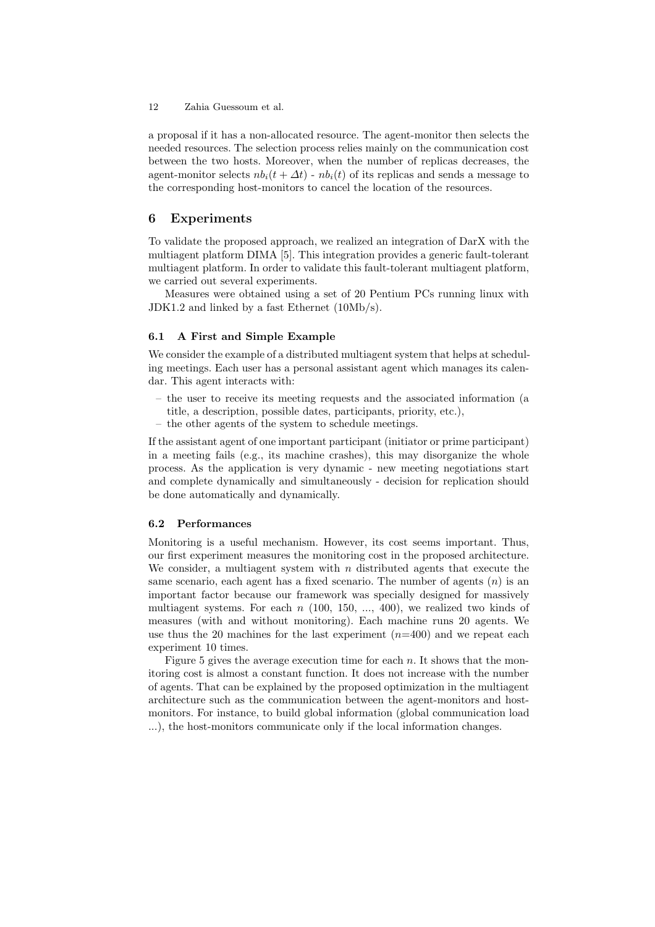a proposal if it has a non-allocated resource. The agent-monitor then selects the needed resources. The selection process relies mainly on the communication cost between the two hosts. Moreover, when the number of replicas decreases, the agent-monitor selects  $nb_i(t + \Delta t)$  -  $nb_i(t)$  of its replicas and sends a message to the corresponding host-monitors to cancel the location of the resources.

# **6 Experiments**

To validate the proposed approach, we realized an integration of DarX with the multiagent platform DIMA [5]. This integration provides a generic fault-tolerant multiagent platform. In order to validate this fault-tolerant multiagent platform, we carried out several experiments.

Measures were obtained using a set of 20 Pentium PCs running linux with JDK1.2 and linked by a fast Ethernet (10Mb/s).

# **6.1 A First and Simple Example**

We consider the example of a distributed multiagent system that helps at scheduling meetings. Each user has a personal assistant agent which manages its calendar. This agent interacts with:

- the user to receive its meeting requests and the associated information (a title, a description, possible dates, participants, priority, etc.),
- the other agents of the system to schedule meetings.

If the assistant agent of one important participant (initiator or prime participant) in a meeting fails (e.g., its machine crashes), this may disorganize the whole process. As the application is very dynamic - new meeting negotiations start and complete dynamically and simultaneously - decision for replication should be done automatically and dynamically.

### **6.2 Performances**

Monitoring is a useful mechanism. However, its cost seems important. Thus, our first experiment measures the monitoring cost in the proposed architecture. We consider, a multiagent system with  $n$  distributed agents that execute the same scenario, each agent has a fixed scenario. The number of agents  $(n)$  is an important factor because our framework was specially designed for massively multiagent systems. For each  $n(100, 150, \ldots, 400)$ , we realized two kinds of measures (with and without monitoring). Each machine runs 20 agents. We use thus the 20 machines for the last experiment  $(n=400)$  and we repeat each experiment 10 times.

Figure 5 gives the average execution time for each n. It shows that the monitoring cost is almost a constant function. It does not increase with the number of agents. That can be explained by the proposed optimization in the multiagent architecture such as the communication between the agent-monitors and hostmonitors. For instance, to build global information (global communication load ...), the host-monitors communicate only if the local information changes.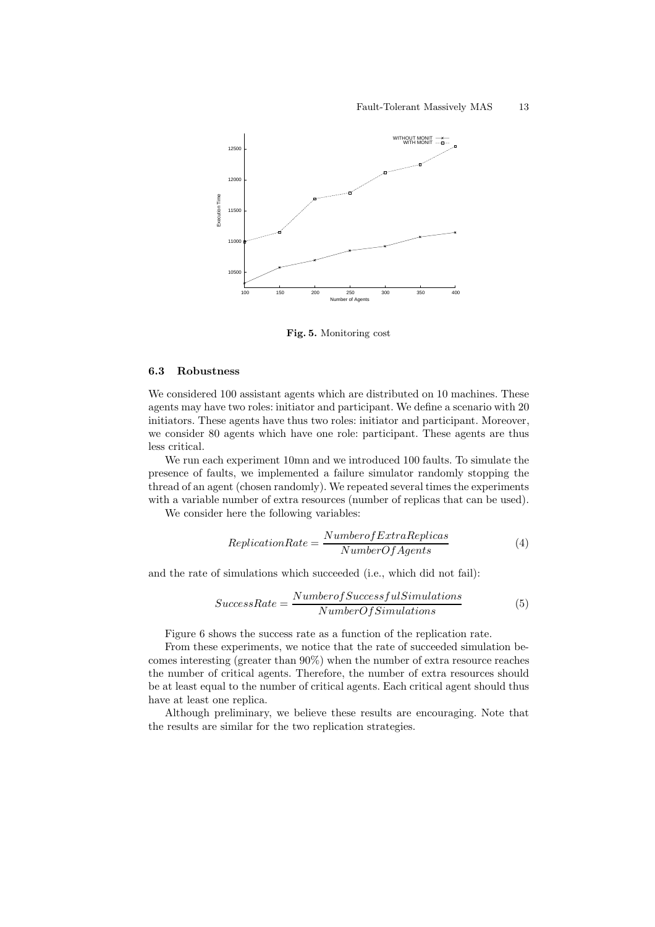

**Fig. 5.** Monitoring cost

# **6.3 Robustness**

We considered 100 assistant agents which are distributed on 10 machines. These agents may have two roles: initiator and participant. We define a scenario with 20 initiators. These agents have thus two roles: initiator and participant. Moreover, we consider 80 agents which have one role: participant. These agents are thus less critical.

We run each experiment 10mn and we introduced 100 faults. To simulate the presence of faults, we implemented a failure simulator randomly stopping the thread of an agent (chosen randomly). We repeated several times the experiments with a variable number of extra resources (number of replicas that can be used).

We consider here the following variables:

$$
ReplicationRate = \frac{Number of ExtraReplicas}{NumberOf Agents}
$$
\n(4)

and the rate of simulations which succeeded (i.e., which did not fail):

$$
SuccessRate = \frac{Number of SuccessfulSimulations}{NumberOfSimulations}
$$
\n(5)

Figure 6 shows the success rate as a function of the replication rate.

From these experiments, we notice that the rate of succeeded simulation becomes interesting (greater than 90%) when the number of extra resource reaches the number of critical agents. Therefore, the number of extra resources should be at least equal to the number of critical agents. Each critical agent should thus have at least one replica.

Although preliminary, we believe these results are encouraging. Note that the results are similar for the two replication strategies.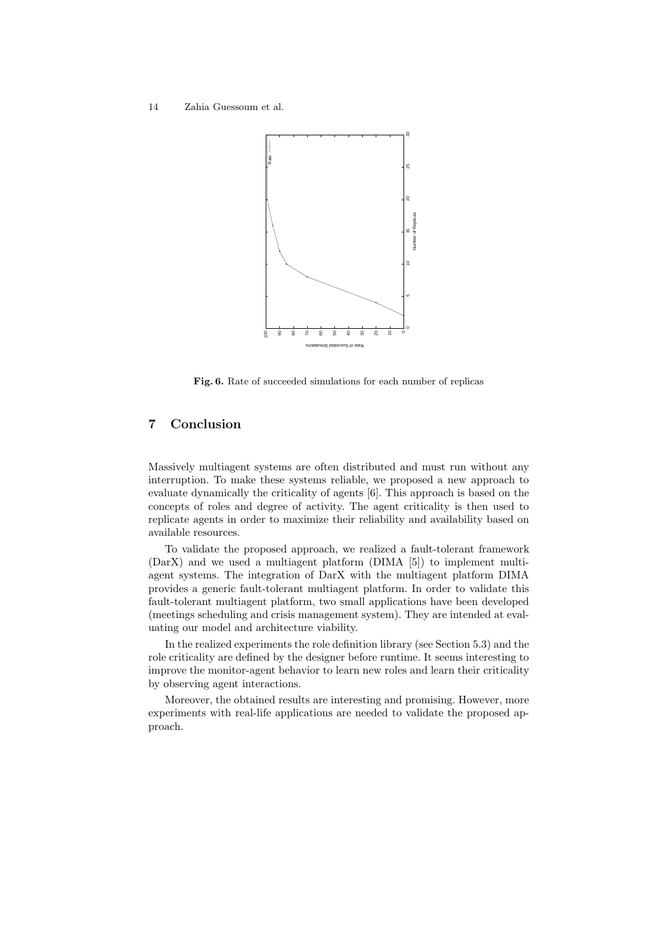

**Fig. 6.** Rate of succeeded simulations for each number of replicas

# **7 Conclusion**

Massively multiagent systems are often distributed and must run without any interruption. To make these systems reliable, we proposed a new approach to evaluate dynamically the criticality of agents [6]. This approach is based on the concepts of roles and degree of activity. The agent criticality is then used to replicate agents in order to maximize their reliability and availability based on available resources.

To validate the proposed approach, we realized a fault-tolerant framework (DarX) and we used a multiagent platform (DIMA [5]) to implement multiagent systems. The integration of DarX with the multiagent platform DIMA provides a generic fault-tolerant multiagent platform. In order to validate this fault-tolerant multiagent platform, two small applications have been developed (meetings scheduling and crisis management system). They are intended at evaluating our model and architecture viability.

In the realized experiments the role definition library (see Section 5.3) and the role criticality are defined by the designer before runtime. It seems interesting to improve the monitor-agent behavior to learn new roles and learn their criticality by observing agent interactions.

Moreover, the obtained results are interesting and promising. However, more experiments with real-life applications are needed to validate the proposed approach.